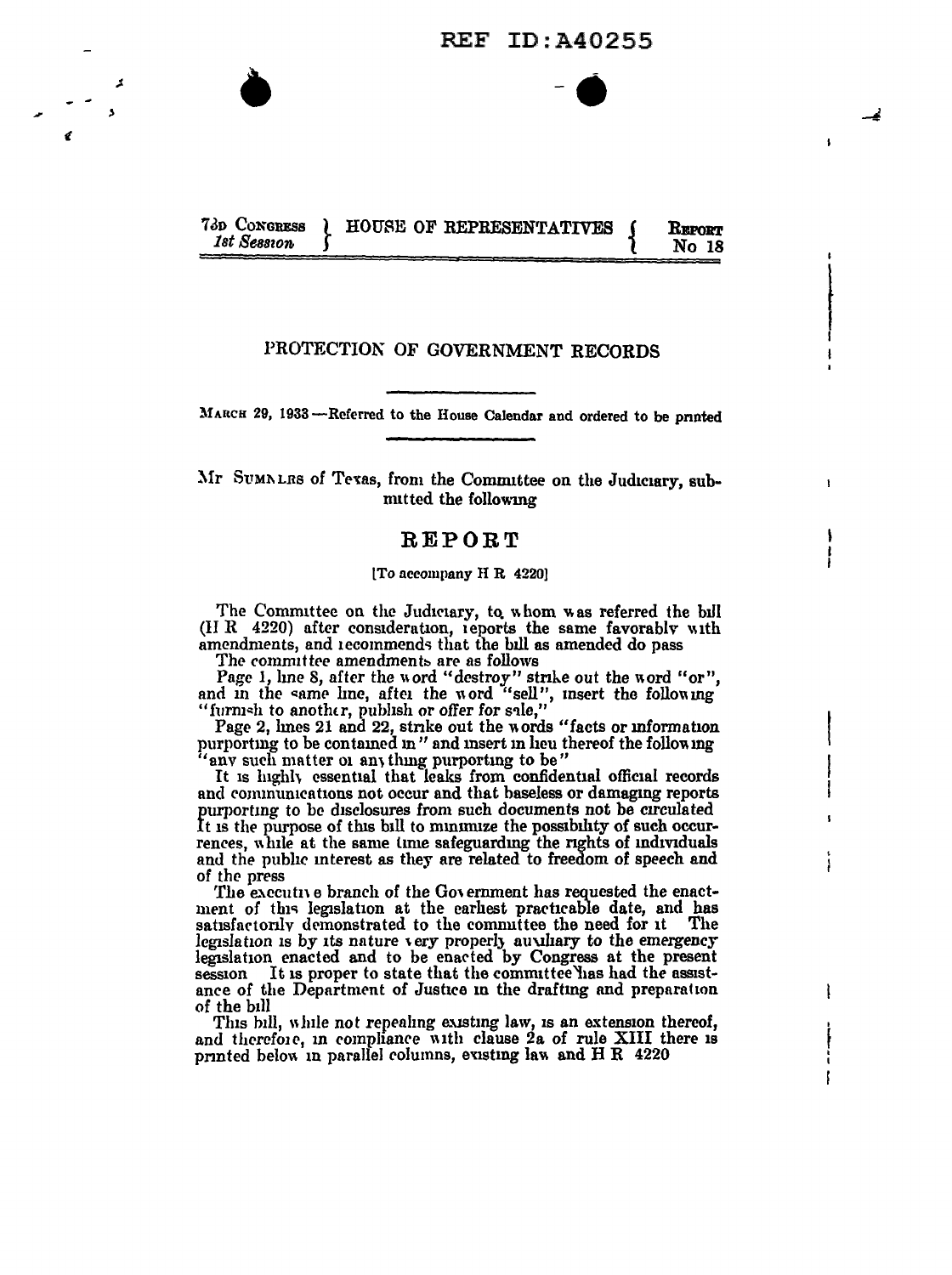**REF ID: A40255** 

#### 73D CONGRESS HOUSE OF REPRESENTATIVES  ${\bf R}$ eport 1st Session No 18

# PROTECTION OF GOVERNMENT RECORDS

MARCH 29, 1933 -- Referred to the House Calendar and ordered to be printed

Mr SUMNLRS of Texas, from the Committee on the Judiciary, submitted the following

## $R E PO R T$

### [To accompany H R 4220]

The Committee on the Judiciary, to whom was referred the bill (HR 4220) after consideration, reports the same favorably with amendments, and recommends that the bill as amended do pass

The committee amendments are as follows

A

Page 1, line 8, after the word "destroy" strike out the word "or",<br>and in the same line, after the word "sell", insert the following<br>"furnish to another, publish or offer for sale,"

Page 2, lmes 21 and 22, strike out the words "facts or information purporting to be contained in" and insert in lieu thereof the following any such matter or any thing purporting to be"

It is highly essential that leaks from confidential official records and communications not occur and that baseless or damaging reports purporting to be disclosures from such documents not be circulated It is the purpose of this bill to minimize the possibility of such occurrences, while at the same time safeguarding the rights of individuals and the public interest as they are related to freedom of speech and of the press

The executive branch of the Government has requested the enactment of this legislation at the earliest practicable date, and has satisfactorily demonstrated to the committee the need for it The legislation is by its nature very properly auxiliary to the emergency legislation enacted and to be enacted by Congress at the present It is proper to state that the committee has had the assistsession ance of the Department of Justice in the drafting and preparation of the bill

L

This bill, while not repealing existing law, is an extension thereof, and therefore, in compliance with clause 2a of rule XIII there is printed below in parallel columns, evisting law and H R 4220